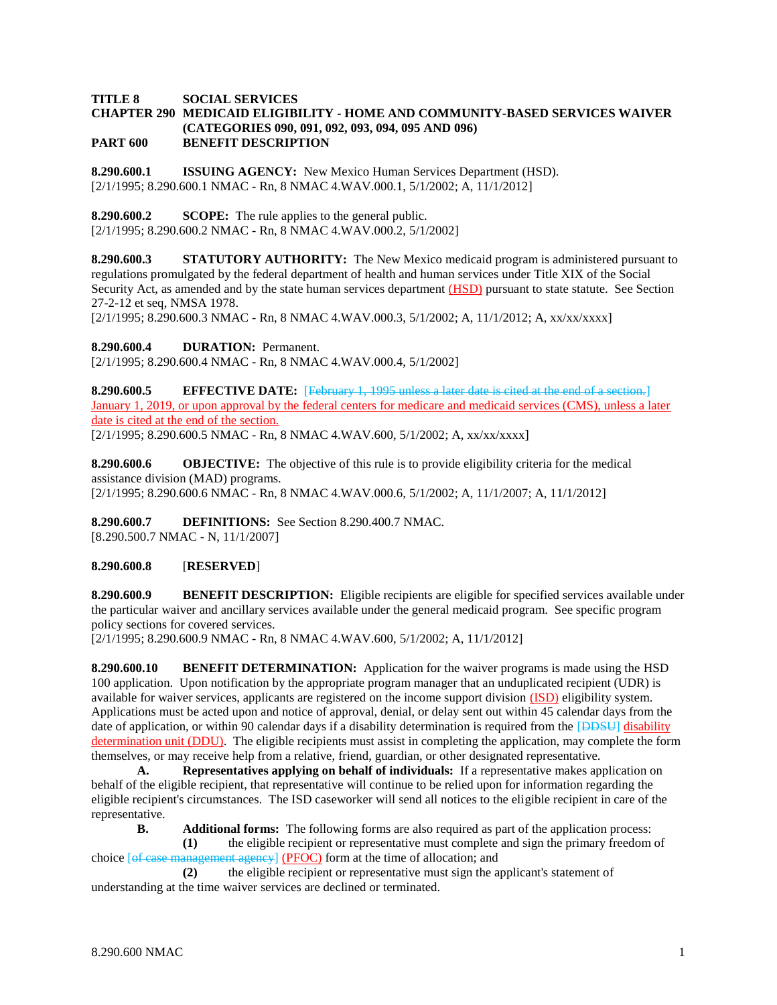### **TITLE 8 SOCIAL SERVICES CHAPTER 290 MEDICAID ELIGIBILITY - HOME AND COMMUNITY-BASED SERVICES WAIVER (CATEGORIES 090, 091, 092, 093, 094, 095 AND 096) PART 600 BENEFIT DESCRIPTION**

**8.290.600.1 ISSUING AGENCY:** New Mexico Human Services Department (HSD). [2/1/1995; 8.290.600.1 NMAC - Rn, 8 NMAC 4.WAV.000.1, 5/1/2002; A, 11/1/2012]

**8.290.600.2 SCOPE:** The rule applies to the general public.

[2/1/1995; 8.290.600.2 NMAC - Rn, 8 NMAC 4.WAV.000.2, 5/1/2002]

**8.290.600.3 STATUTORY AUTHORITY:** The New Mexico medicaid program is administered pursuant to regulations promulgated by the federal department of health and human services under Title XIX of the Social Security Act, as amended and by the state human services department (HSD) pursuant to state statute. See Section 27-2-12 et seq, NMSA 1978.

 $[2/1/1995; 8.290.600.3 NMAC - Rn, 8 NMAC 4 WAV.000.3, 5/1/2002; A, 11/1/2012; A, xx/xxxxx]$ 

**8.290.600.4 DURATION:** Permanent.

[2/1/1995; 8.290.600.4 NMAC - Rn, 8 NMAC 4.WAV.000.4, 5/1/2002]

**8.290.600.5 EFFECTIVE DATE:** [February 1, 1995 unless a later date is cited at the end of a section.] January 1, 2019, or upon approval by the federal centers for medicare and medicaid services (CMS), unless a later date is cited at the end of the section. [2/1/1995; 8.290.600.5 NMAC - Rn, 8 NMAC 4.WAV.600, 5/1/2002; A, xx/xx/xxxx]

**8.290.600.6 OBJECTIVE:** The objective of this rule is to provide eligibility criteria for the medical assistance division (MAD) programs. [2/1/1995; 8.290.600.6 NMAC - Rn, 8 NMAC 4.WAV.000.6, 5/1/2002; A, 11/1/2007; A, 11/1/2012]

**8.290.600.7 DEFINITIONS:** See Section 8.290.400.7 NMAC. [8.290.500.7 NMAC - N, 11/1/2007]

## **8.290.600.8** [**RESERVED**]

**8.290.600.9 BENEFIT DESCRIPTION:** Eligible recipients are eligible for specified services available under the particular waiver and ancillary services available under the general medicaid program. See specific program policy sections for covered services.

[2/1/1995; 8.290.600.9 NMAC - Rn, 8 NMAC 4.WAV.600, 5/1/2002; A, 11/1/2012]

**8.290.600.10 BENEFIT DETERMINATION:** Application for the waiver programs is made using the HSD 100 application. Upon notification by the appropriate program manager that an unduplicated recipient (UDR) is available for waiver services, applicants are registered on the income support division (ISD) eligibility system. Applications must be acted upon and notice of approval, denial, or delay sent out within 45 calendar days from the date of application, or within 90 calendar days if a disability determination is required from the [DDSU] disability determination unit (DDU). The eligible recipients must assist in completing the application, may complete the form themselves, or may receive help from a relative, friend, guardian, or other designated representative.

**A. Representatives applying on behalf of individuals:** If a representative makes application on behalf of the eligible recipient, that representative will continue to be relied upon for information regarding the eligible recipient's circumstances. The ISD caseworker will send all notices to the eligible recipient in care of the representative.

**B. Additional forms:** The following forms are also required as part of the application process:

**(1)** the eligible recipient or representative must complete and sign the primary freedom of choice  $[of \text{ case management agency}]$  (PFOC) form at the time of allocation; and

**(2)** the eligible recipient or representative must sign the applicant's statement of understanding at the time waiver services are declined or terminated.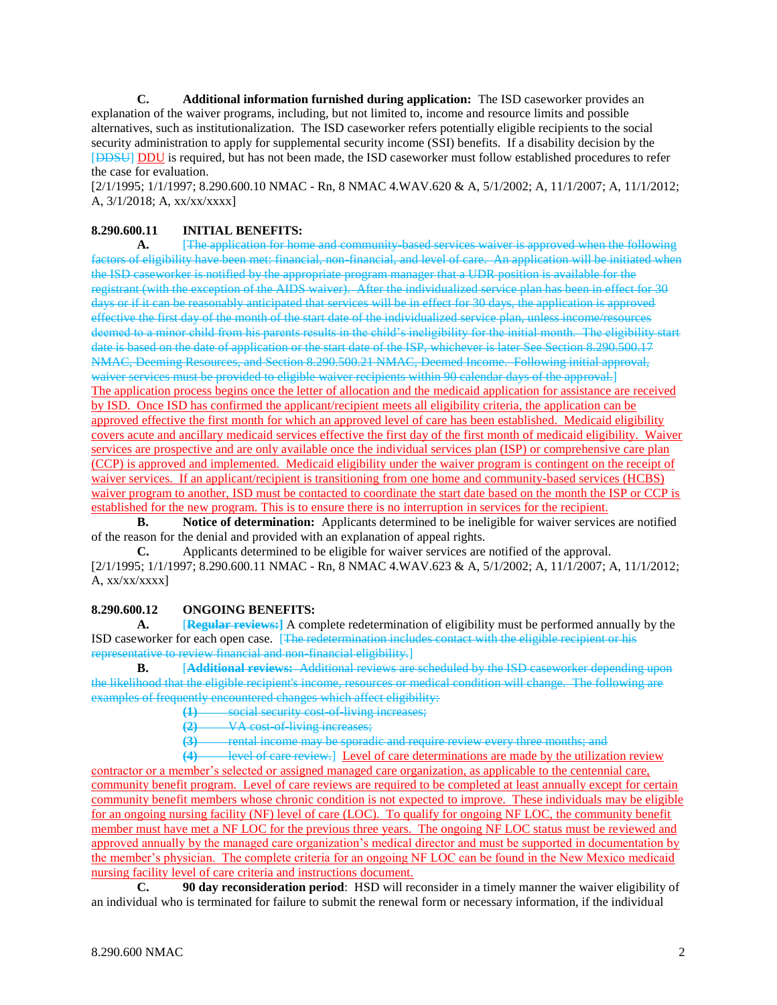**C. Additional information furnished during application:** The ISD caseworker provides an explanation of the waiver programs, including, but not limited to, income and resource limits and possible alternatives, such as institutionalization. The ISD caseworker refers potentially eligible recipients to the social security administration to apply for supplemental security income (SSI) benefits. If a disability decision by the [DDSU] DDU is required, but has not been made, the ISD caseworker must follow established procedures to refer the case for evaluation.

[2/1/1995; 1/1/1997; 8.290.600.10 NMAC - Rn, 8 NMAC 4.WAV.620 & A, 5/1/2002; A, 11/1/2007; A, 11/1/2012; A, 3/1/2018; A, xx/xx/xxxx]

# **8.290.600.11 INITIAL BENEFITS:**

**A.** [The application for home and community-based services waiver is approved when the following factors of eligibility have been met: financial, non-financial, and level of care. An application will be initiated when the ISD caseworker is notified by the appropriate program manager that a UDR position is available for the registrant (with the exception of the AIDS waiver). After the individualized service plan has been in effect for 30 days or if it can be reasonably anticipated that services will be in effect for 30 days, the application is approved effective the first day of the month of the start date of the individualized service plan, unless income/resources deemed to a minor child from his parents results in the child's ineligibility for the initial month. The eligibility start date is based on the date of application or the start date of the ISP, whichever is later See Section 8.290.500.17 NMAC, Deeming Resources, and Section 8.290.500.21 NMAC, Deemed Income. Following initial approval, waiver services must be provided to eligible waiver recipients within 90 calendar days of the approval.] The application process begins once the letter of allocation and the medicaid application for assistance are received by ISD. Once ISD has confirmed the applicant/recipient meets all eligibility criteria, the application can be approved effective the first month for which an approved level of care has been established. Medicaid eligibility covers acute and ancillary medicaid services effective the first day of the first month of medicaid eligibility. Waiver services are prospective and are only available once the individual services plan (ISP) or comprehensive care plan (CCP) is approved and implemented. Medicaid eligibility under the waiver program is contingent on the receipt of waiver services. If an applicant/recipient is transitioning from one home and community-based services (HCBS) waiver program to another, ISD must be contacted to coordinate the start date based on the month the ISP or CCP is established for the new program. This is to ensure there is no interruption in services for the recipient.

**B. Notice of determination:** Applicants determined to be ineligible for waiver services are notified of the reason for the denial and provided with an explanation of appeal rights.

**C.** Applicants determined to be eligible for waiver services are notified of the approval. [2/1/1995; 1/1/1997; 8.290.600.11 NMAC - Rn, 8 NMAC 4.WAV.623 & A, 5/1/2002; A, 11/1/2007; A, 11/1/2012; A, xx/xx/xxxx]

## **8.290.600.12 ONGOING BENEFITS:**

**A.** [**Regular reviews:]** A complete redetermination of eligibility must be performed annually by the ISD caseworker for each open case. [The redetermination includes contact with the eligible recipient or his representative to review financial and non-financial eligibility.]

**B.** [**Additional reviews:** Additional reviews are scheduled by the ISD caseworker depending upon the likelihood that the eligible recipient's income, resources or medical condition will change. The following are examples of frequently encountered changes which affect eligibility:

**(1)** social security cost-of-living increases;

**(2)** VA cost-of-living increases;

**(3)** rental income may be sporadic and require review every three months; and

**(4)** level of care review.] Level of care determinations are made by the utilization review contractor or a member's selected or assigned managed care organization, as applicable to the centennial care, community benefit program. Level of care reviews are required to be completed at least annually except for certain community benefit members whose chronic condition is not expected to improve. These individuals may be eligible for an ongoing nursing facility (NF) level of care (LOC). To qualify for ongoing NF LOC, the community benefit member must have met a NF LOC for the previous three years. The ongoing NF LOC status must be reviewed and approved annually by the managed care organization's medical director and must be supported in documentation by the member's physician. The complete criteria for an ongoing NF LOC can be found in the New Mexico medicaid nursing facility level of care criteria and instructions document.

**C. 90 day reconsideration period**: HSD will reconsider in a timely manner the waiver eligibility of an individual who is terminated for failure to submit the renewal form or necessary information, if the individual